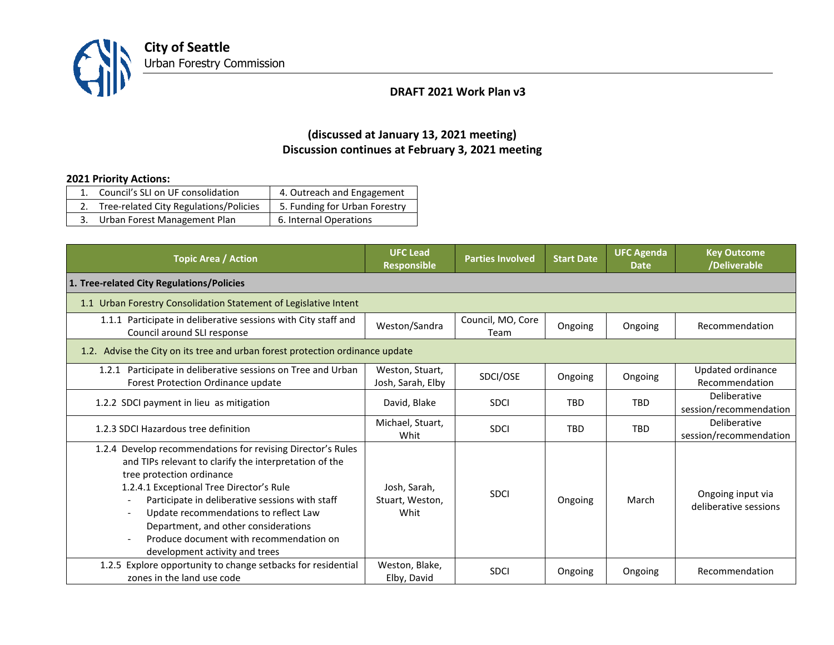

## **DRAFT 2021 Work Plan v3**

## **(discussed at January 13, 2021 meeting) Discussion continues at February 3, 2021 meeting**

## **2021 Priority Actions:**

| 1. Council's SLI on UF consolidation      | 4. Outreach and Engagement    |
|-------------------------------------------|-------------------------------|
| 2. Tree-related City Regulations/Policies | 5. Funding for Urban Forestry |
| 3. Urban Forest Management Plan           | 6. Internal Operations        |

| <b>Topic Area / Action</b>                                                                                                                                                                                                                                                                                                                                                                                      | <b>UFC Lead</b><br><b>Responsible</b>   | <b>Parties Involved</b>   | <b>Start Date</b> | <b>UFC Agenda</b><br><b>Date</b> | <b>Key Outcome</b><br>/Deliverable         |  |
|-----------------------------------------------------------------------------------------------------------------------------------------------------------------------------------------------------------------------------------------------------------------------------------------------------------------------------------------------------------------------------------------------------------------|-----------------------------------------|---------------------------|-------------------|----------------------------------|--------------------------------------------|--|
| 1. Tree-related City Regulations/Policies                                                                                                                                                                                                                                                                                                                                                                       |                                         |                           |                   |                                  |                                            |  |
| 1.1 Urban Forestry Consolidation Statement of Legislative Intent                                                                                                                                                                                                                                                                                                                                                |                                         |                           |                   |                                  |                                            |  |
| 1.1.1 Participate in deliberative sessions with City staff and<br>Council around SLI response                                                                                                                                                                                                                                                                                                                   | Weston/Sandra                           | Council, MO, Core<br>Team | Ongoing           | Ongoing                          | Recommendation                             |  |
| 1.2. Advise the City on its tree and urban forest protection ordinance update                                                                                                                                                                                                                                                                                                                                   |                                         |                           |                   |                                  |                                            |  |
| 1.2.1 Participate in deliberative sessions on Tree and Urban<br>Forest Protection Ordinance update                                                                                                                                                                                                                                                                                                              | Weston, Stuart,<br>Josh, Sarah, Elby    | SDCI/OSE                  | Ongoing           | Ongoing                          | Updated ordinance<br>Recommendation        |  |
| 1.2.2 SDCI payment in lieu as mitigation                                                                                                                                                                                                                                                                                                                                                                        | David, Blake                            | <b>SDCI</b>               | <b>TBD</b>        | <b>TRD</b>                       | Deliberative<br>session/recommendation     |  |
| 1.2.3 SDCI Hazardous tree definition                                                                                                                                                                                                                                                                                                                                                                            | Michael, Stuart,<br>Whit                | <b>SDCI</b>               | <b>TBD</b>        | <b>TBD</b>                       | Deliberative<br>session/recommendation     |  |
| 1.2.4 Develop recommendations for revising Director's Rules<br>and TIPs relevant to clarify the interpretation of the<br>tree protection ordinance<br>1.2.4.1 Exceptional Tree Director's Rule<br>Participate in deliberative sessions with staff<br>Update recommendations to reflect Law<br>Department, and other considerations<br>Produce document with recommendation on<br>development activity and trees | Josh, Sarah,<br>Stuart, Weston,<br>Whit | <b>SDCI</b>               | Ongoing           | March                            | Ongoing input via<br>deliberative sessions |  |
| 1.2.5 Explore opportunity to change setbacks for residential<br>zones in the land use code                                                                                                                                                                                                                                                                                                                      | Weston, Blake,<br>Elby, David           | <b>SDCI</b>               | Ongoing           | Ongoing                          | Recommendation                             |  |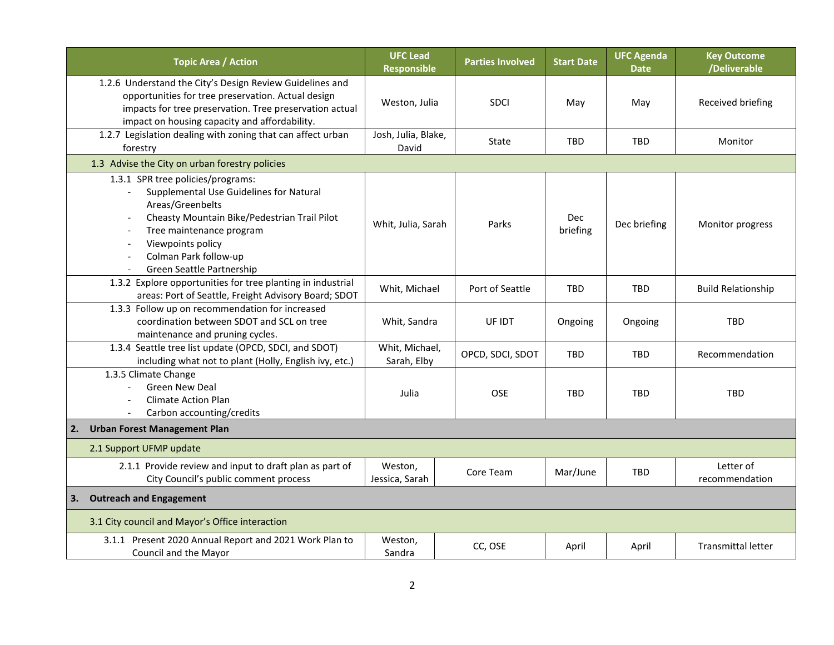| <b>Topic Area / Action</b>                                                                                                                                                                                                                              | <b>UFC Lead</b><br><b>Responsible</b> | <b>Parties Involved</b> | <b>Start Date</b>      | <b>UFC Agenda</b><br><b>Date</b> | <b>Key Outcome</b><br>/Deliverable |  |
|---------------------------------------------------------------------------------------------------------------------------------------------------------------------------------------------------------------------------------------------------------|---------------------------------------|-------------------------|------------------------|----------------------------------|------------------------------------|--|
| 1.2.6 Understand the City's Design Review Guidelines and<br>opportunities for tree preservation. Actual design<br>impacts for tree preservation. Tree preservation actual<br>impact on housing capacity and affordability.                              | Weston, Julia                         | <b>SDCI</b>             | May                    | May                              | Received briefing                  |  |
| 1.2.7 Legislation dealing with zoning that can affect urban<br>forestry                                                                                                                                                                                 | Josh, Julia, Blake,<br>David          | State                   | <b>TBD</b>             | <b>TBD</b>                       | Monitor                            |  |
| 1.3 Advise the City on urban forestry policies                                                                                                                                                                                                          |                                       |                         |                        |                                  |                                    |  |
| 1.3.1 SPR tree policies/programs:<br>Supplemental Use Guidelines for Natural<br>Areas/Greenbelts<br>Cheasty Mountain Bike/Pedestrian Trail Pilot<br>Tree maintenance program<br>Viewpoints policy<br>Colman Park follow-up<br>Green Seattle Partnership | Whit, Julia, Sarah                    | Parks                   | <b>Dec</b><br>briefing | Dec briefing                     | Monitor progress                   |  |
| 1.3.2 Explore opportunities for tree planting in industrial<br>areas: Port of Seattle, Freight Advisory Board; SDOT                                                                                                                                     | Whit, Michael                         | Port of Seattle         | <b>TBD</b>             | <b>TBD</b>                       | <b>Build Relationship</b>          |  |
| 1.3.3 Follow up on recommendation for increased<br>coordination between SDOT and SCL on tree<br>maintenance and pruning cycles.                                                                                                                         | Whit, Sandra                          | UF IDT                  | Ongoing                | Ongoing                          | TBD                                |  |
| 1.3.4 Seattle tree list update (OPCD, SDCI, and SDOT)<br>including what not to plant (Holly, English ivy, etc.)                                                                                                                                         | Whit, Michael,<br>Sarah, Elby         | OPCD, SDCI, SDOT        | TBD                    | TBD                              | Recommendation                     |  |
| 1.3.5 Climate Change<br><b>Green New Deal</b><br><b>Climate Action Plan</b><br>Carbon accounting/credits                                                                                                                                                | Julia                                 | <b>OSE</b>              | <b>TBD</b>             | <b>TBD</b>                       | <b>TBD</b>                         |  |
| <b>Urban Forest Management Plan</b><br>2.                                                                                                                                                                                                               |                                       |                         |                        |                                  |                                    |  |
| 2.1 Support UFMP update                                                                                                                                                                                                                                 |                                       |                         |                        |                                  |                                    |  |
| 2.1.1 Provide review and input to draft plan as part of<br>City Council's public comment process                                                                                                                                                        | Weston,<br>Jessica, Sarah             | Core Team               | Mar/June               | <b>TBD</b>                       | Letter of<br>recommendation        |  |
| <b>Outreach and Engagement</b><br>3.                                                                                                                                                                                                                    |                                       |                         |                        |                                  |                                    |  |
| 3.1 City council and Mayor's Office interaction                                                                                                                                                                                                         |                                       |                         |                        |                                  |                                    |  |
| 3.1.1 Present 2020 Annual Report and 2021 Work Plan to<br>Council and the Mayor                                                                                                                                                                         | Weston,<br>Sandra                     | CC, OSE                 | April                  | April                            | <b>Transmittal letter</b>          |  |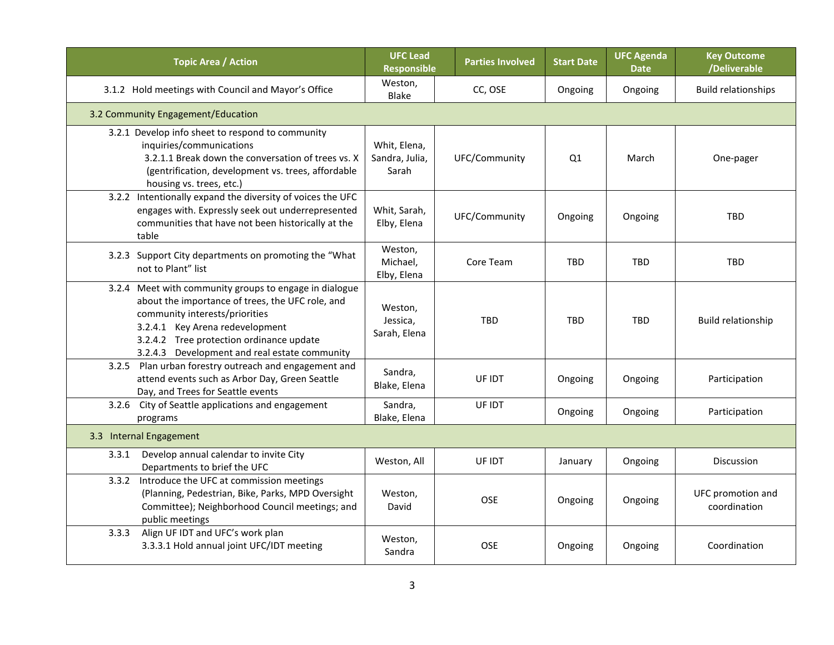| <b>Topic Area / Action</b>                                                                                                                                                                                                                                                   | <b>UFC Lead</b><br>Responsible          | <b>Parties Involved</b> | <b>Start Date</b> | <b>UFC Agenda</b><br><b>Date</b> | <b>Key Outcome</b><br>/Deliverable |  |
|------------------------------------------------------------------------------------------------------------------------------------------------------------------------------------------------------------------------------------------------------------------------------|-----------------------------------------|-------------------------|-------------------|----------------------------------|------------------------------------|--|
| 3.1.2 Hold meetings with Council and Mayor's Office                                                                                                                                                                                                                          | Weston,<br>Blake                        | CC, OSE                 | Ongoing           | Ongoing                          | <b>Build relationships</b>         |  |
| 3.2 Community Engagement/Education                                                                                                                                                                                                                                           |                                         |                         |                   |                                  |                                    |  |
| 3.2.1 Develop info sheet to respond to community<br>inquiries/communications<br>3.2.1.1 Break down the conversation of trees vs. X<br>(gentrification, development vs. trees, affordable<br>housing vs. trees, etc.)                                                         | Whit, Elena,<br>Sandra, Julia,<br>Sarah | UFC/Community           | Q1                | March                            | One-pager                          |  |
| 3.2.2 Intentionally expand the diversity of voices the UFC<br>engages with. Expressly seek out underrepresented<br>communities that have not been historically at the<br>table                                                                                               | Whit, Sarah,<br>Elby, Elena             | UFC/Community           | Ongoing           | Ongoing                          | <b>TBD</b>                         |  |
| 3.2.3 Support City departments on promoting the "What<br>not to Plant" list                                                                                                                                                                                                  | Weston,<br>Michael,<br>Elby, Elena      | Core Team               | <b>TBD</b>        | <b>TBD</b>                       | <b>TBD</b>                         |  |
| 3.2.4 Meet with community groups to engage in dialogue<br>about the importance of trees, the UFC role, and<br>community interests/priorities<br>3.2.4.1 Key Arena redevelopment<br>3.2.4.2 Tree protection ordinance update<br>3.2.4.3 Development and real estate community | Weston,<br>Jessica,<br>Sarah, Elena     | <b>TBD</b>              | <b>TBD</b>        | <b>TBD</b>                       | Build relationship                 |  |
| 3.2.5 Plan urban forestry outreach and engagement and<br>attend events such as Arbor Day, Green Seattle<br>Day, and Trees for Seattle events                                                                                                                                 | Sandra,<br>Blake, Elena                 | UF IDT                  | Ongoing           | Ongoing                          | Participation                      |  |
| 3.2.6 City of Seattle applications and engagement<br>programs                                                                                                                                                                                                                | Sandra,<br>Blake, Elena                 | UF IDT                  | Ongoing           | Ongoing                          | Participation                      |  |
| 3.3 Internal Engagement                                                                                                                                                                                                                                                      |                                         |                         |                   |                                  |                                    |  |
| Develop annual calendar to invite City<br>3.3.1<br>Departments to brief the UFC                                                                                                                                                                                              | Weston, All                             | UF IDT                  | January           | Ongoing                          | <b>Discussion</b>                  |  |
| 3.3.2 Introduce the UFC at commission meetings<br>(Planning, Pedestrian, Bike, Parks, MPD Oversight<br>Committee); Neighborhood Council meetings; and<br>public meetings                                                                                                     | Weston,<br>David                        | OSE                     | Ongoing           | Ongoing                          | UFC promotion and<br>coordination  |  |
| Align UF IDT and UFC's work plan<br>3.3.3<br>3.3.3.1 Hold annual joint UFC/IDT meeting                                                                                                                                                                                       | Weston,<br>Sandra                       | OSE                     | Ongoing           | Ongoing                          | Coordination                       |  |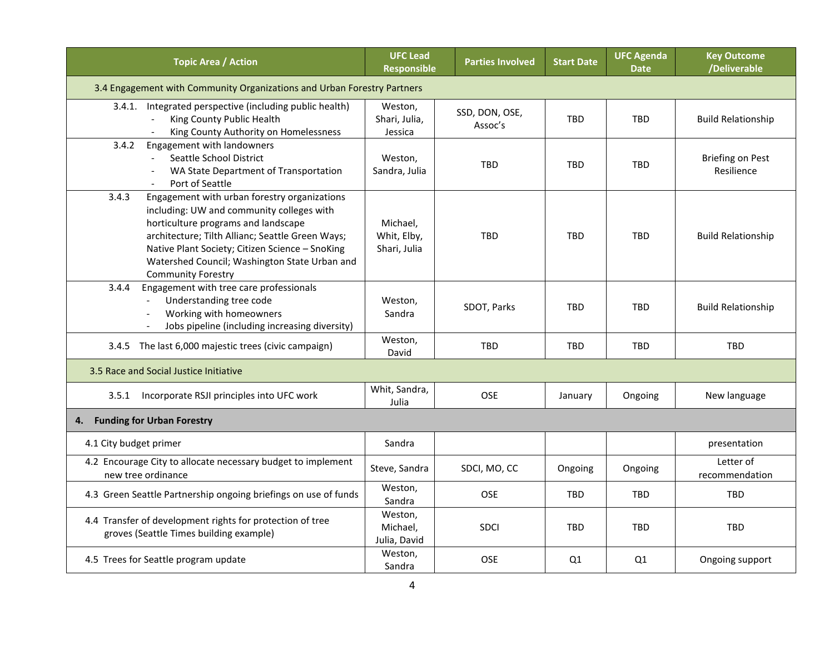| <b>Topic Area / Action</b>                                                                                                                                                                                                                                                                                                     | <b>UFC Lead</b><br>Responsible          | <b>Parties Involved</b>   | <b>Start Date</b> | <b>UFC Agenda</b><br><b>Date</b> | <b>Key Outcome</b><br>/Deliverable    |
|--------------------------------------------------------------------------------------------------------------------------------------------------------------------------------------------------------------------------------------------------------------------------------------------------------------------------------|-----------------------------------------|---------------------------|-------------------|----------------------------------|---------------------------------------|
| 3.4 Engagement with Community Organizations and Urban Forestry Partners                                                                                                                                                                                                                                                        |                                         |                           |                   |                                  |                                       |
| 3.4.1. Integrated perspective (including public health)<br>King County Public Health<br>$\blacksquare$<br>King County Authority on Homelessness                                                                                                                                                                                | Weston,<br>Shari, Julia,<br>Jessica     | SSD, DON, OSE,<br>Assoc's | <b>TBD</b>        | <b>TBD</b>                       | <b>Build Relationship</b>             |
| Engagement with landowners<br>3.4.2<br>Seattle School District<br>WA State Department of Transportation<br>Port of Seattle                                                                                                                                                                                                     | Weston,<br>Sandra, Julia                | <b>TBD</b>                | <b>TBD</b>        | <b>TBD</b>                       | <b>Briefing on Pest</b><br>Resilience |
| Engagement with urban forestry organizations<br>3.4.3<br>including: UW and community colleges with<br>horticulture programs and landscape<br>architecture; Tilth Allianc; Seattle Green Ways;<br>Native Plant Society; Citizen Science - SnoKing<br>Watershed Council; Washington State Urban and<br><b>Community Forestry</b> | Michael,<br>Whit, Elby,<br>Shari, Julia | <b>TBD</b>                | <b>TBD</b>        | <b>TBD</b>                       | <b>Build Relationship</b>             |
| Engagement with tree care professionals<br>3.4.4<br>Understanding tree code<br>$\blacksquare$<br>Working with homeowners<br>Jobs pipeline (including increasing diversity)                                                                                                                                                     | Weston.<br>Sandra                       | SDOT, Parks               | <b>TBD</b>        | <b>TBD</b>                       | <b>Build Relationship</b>             |
| 3.4.5 The last 6,000 majestic trees (civic campaign)                                                                                                                                                                                                                                                                           | Weston,<br>David                        | <b>TBD</b>                | <b>TBD</b>        | <b>TBD</b>                       | <b>TBD</b>                            |
| 3.5 Race and Social Justice Initiative                                                                                                                                                                                                                                                                                         |                                         |                           |                   |                                  |                                       |
| Incorporate RSJI principles into UFC work<br>3.5.1                                                                                                                                                                                                                                                                             | Whit, Sandra,<br>Julia                  | OSE                       | January           | Ongoing                          | New language                          |
| <b>Funding for Urban Forestry</b><br>4.                                                                                                                                                                                                                                                                                        |                                         |                           |                   |                                  |                                       |
| 4.1 City budget primer                                                                                                                                                                                                                                                                                                         | Sandra                                  |                           |                   |                                  | presentation                          |
| 4.2 Encourage City to allocate necessary budget to implement<br>new tree ordinance                                                                                                                                                                                                                                             | Steve, Sandra                           | SDCI, MO, CC              | Ongoing           | Ongoing                          | Letter of<br>recommendation           |
| 4.3 Green Seattle Partnership ongoing briefings on use of funds                                                                                                                                                                                                                                                                | Weston,<br>Sandra                       | OSE                       | <b>TBD</b>        | <b>TBD</b>                       | <b>TBD</b>                            |
| 4.4 Transfer of development rights for protection of tree<br>groves (Seattle Times building example)                                                                                                                                                                                                                           | Weston,<br>Michael,<br>Julia, David     | <b>SDCI</b>               | <b>TBD</b>        | <b>TBD</b>                       | <b>TBD</b>                            |
| 4.5 Trees for Seattle program update                                                                                                                                                                                                                                                                                           | Weston,<br>Sandra                       | <b>OSE</b>                | Q1                | Q1                               | Ongoing support                       |